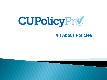

### All About Policies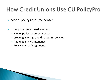## How Credit Unions Use CU PolicyPro

- **Model policy resource center**
- ▶ Policy management system
	- Model policy resources center
	- Creating, storing, and distributing policies
	- Auditing and Maintenance
	- Policy Review Assignments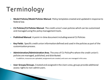# Terminology

- **Model Policies/Model Policies Manual**. Policy templates created and updated in response to federal law.
- **CU Policies/CU Policies Manual**. The credit union's own policies which can be customized and managed using the policy management tools.
- **Published Manual**. A point-in-time document including several CU Policies
- **Key Fields**. Specific credit union information defined and used in the policies as part of the customization process.
- **Administration/Administration Area**. The area of CU PolicyPro where the credit union's policies are managed, published, and distributed.
	- In addition, resources are uploaded, assignments are created, and users are managed in this area.
- **User Groups/Groups.**Created and assigned in the *Users* area, groups provide additional access rights to non-admin users.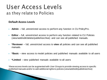## User Access Levels as they relate to Policies

#### **Default Access Levels**

- **Admin** full, unrestricted access to perform any function in CU PolicyPro.
- **Editor** full, unrestricted access to perform any function related to CU Policies (view/add/edit/delete/publish/archive) and can see all published manuals.
- **\*Reviewer**  full, unrestricted access to **view** all policies and can see all published manuals.
- **\*Basic** view access to model policies and published manuals available to all users
- **\*Limited**  view published manuals available to all users

\*these access levels can be augmented with *User Groups* to provide viewing access to specific published manuals and/or to add additional rights to policies (view/add/edit/publish/archive)